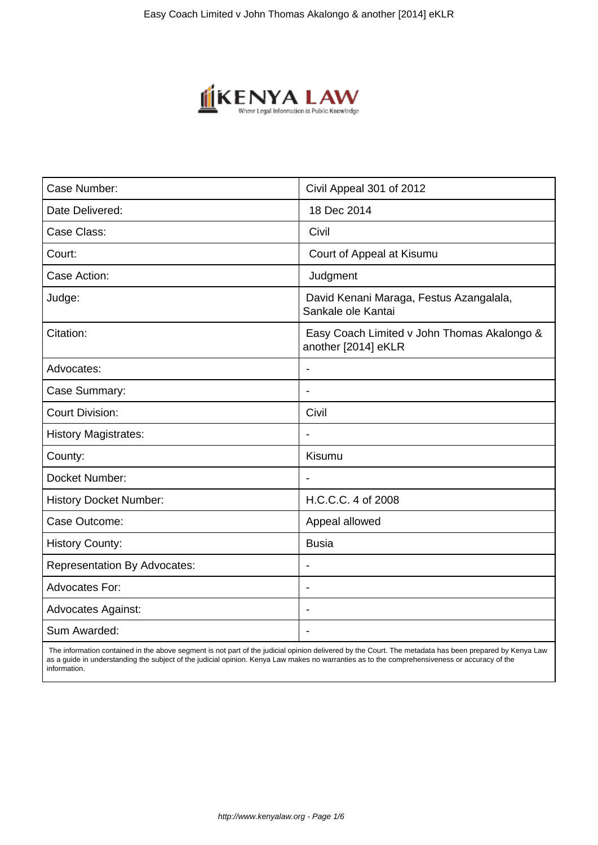

| Case Number:                        | Civil Appeal 301 of 2012                                           |
|-------------------------------------|--------------------------------------------------------------------|
| Date Delivered:                     | 18 Dec 2014                                                        |
| Case Class:                         | Civil                                                              |
| Court:                              | Court of Appeal at Kisumu                                          |
| Case Action:                        | Judgment                                                           |
| Judge:                              | David Kenani Maraga, Festus Azangalala,<br>Sankale ole Kantai      |
| Citation:                           | Easy Coach Limited v John Thomas Akalongo &<br>another [2014] eKLR |
| Advocates:                          | $\blacksquare$                                                     |
| Case Summary:                       | $\blacksquare$                                                     |
| <b>Court Division:</b>              | Civil                                                              |
| <b>History Magistrates:</b>         |                                                                    |
| County:                             | Kisumu                                                             |
| Docket Number:                      | $\blacksquare$                                                     |
| <b>History Docket Number:</b>       | H.C.C.C. 4 of 2008                                                 |
| Case Outcome:                       | Appeal allowed                                                     |
| <b>History County:</b>              | <b>Busia</b>                                                       |
| <b>Representation By Advocates:</b> | $\overline{\phantom{a}}$                                           |
| Advocates For:                      |                                                                    |
| <b>Advocates Against:</b>           |                                                                    |
| Sum Awarded:                        |                                                                    |
|                                     |                                                                    |

 The information contained in the above segment is not part of the judicial opinion delivered by the Court. The metadata has been prepared by Kenya Law as a guide in understanding the subject of the judicial opinion. Kenya Law makes no warranties as to the comprehensiveness or accuracy of the information.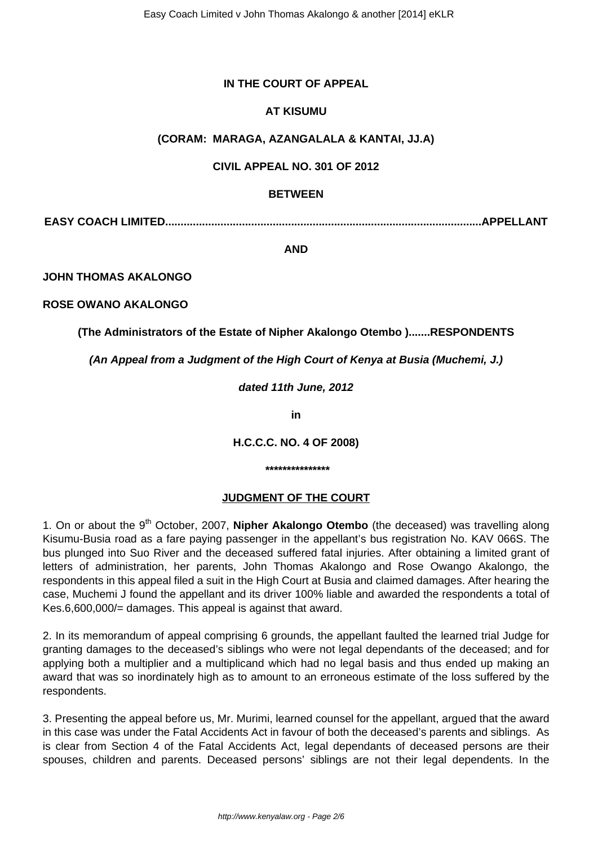## **IN THE COURT OF APPEAL**

## **AT KISUMU**

### **(CORAM: MARAGA, AZANGALALA & KANTAI, JJ.A)**

### **CIVIL APPEAL NO. 301 OF 2012**

#### **BETWEEN**

**EASY COACH LIMITED.......................................................................................................APPELLANT**

**AND**

**JOHN THOMAS AKALONGO** 

**ROSE OWANO AKALONGO** 

## **(The Administrators of the Estate of Nipher Akalongo Otembo ).......RESPONDENTS**

**(An Appeal from a Judgment of the High Court of Kenya at Busia (Muchemi, J.)**

**dated 11th June, 2012**

**in**

**H.C.C.C. NO. 4 OF 2008)**

**\*\*\*\*\*\*\*\*\*\*\*\*\*\*\***

# **JUDGMENT OF THE COURT**

1. On or about the 9<sup>th</sup> October, 2007, **Nipher Akalongo Otembo** (the deceased) was travelling along Kisumu-Busia road as a fare paying passenger in the appellant's bus registration No. KAV 066S. The bus plunged into Suo River and the deceased suffered fatal injuries. After obtaining a limited grant of letters of administration, her parents, John Thomas Akalongo and Rose Owango Akalongo, the respondents in this appeal filed a suit in the High Court at Busia and claimed damages. After hearing the case, Muchemi J found the appellant and its driver 100% liable and awarded the respondents a total of Kes.6,600,000/= damages. This appeal is against that award.

2. In its memorandum of appeal comprising 6 grounds, the appellant faulted the learned trial Judge for granting damages to the deceased's siblings who were not legal dependants of the deceased; and for applying both a multiplier and a multiplicand which had no legal basis and thus ended up making an award that was so inordinately high as to amount to an erroneous estimate of the loss suffered by the respondents.

3. Presenting the appeal before us, Mr. Murimi, learned counsel for the appellant, argued that the award in this case was under the Fatal Accidents Act in favour of both the deceased's parents and siblings. As is clear from Section 4 of the Fatal Accidents Act, legal dependants of deceased persons are their spouses, children and parents. Deceased persons' siblings are not their legal dependents. In the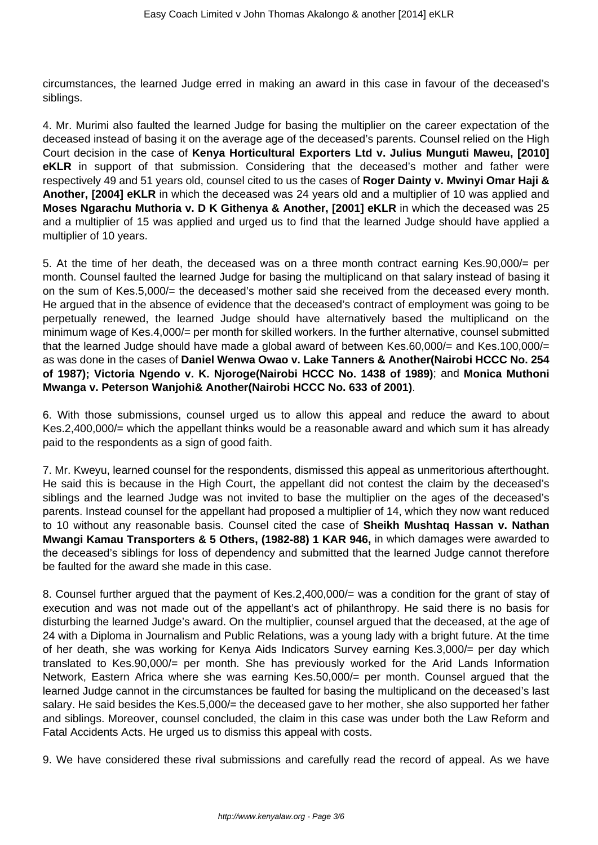circumstances, the learned Judge erred in making an award in this case in favour of the deceased's siblings.

4. Mr. Murimi also faulted the learned Judge for basing the multiplier on the career expectation of the deceased instead of basing it on the average age of the deceased's parents. Counsel relied on the High Court decision in the case of **Kenya Horticultural Exporters Ltd v. Julius Munguti Maweu, [2010] eKLR** in support of that submission. Considering that the deceased's mother and father were respectively 49 and 51 years old, counsel cited to us the cases of **Roger Dainty v. Mwinyi Omar Haji & Another, [2004] eKLR** in which the deceased was 24 years old and a multiplier of 10 was applied and **Moses Ngarachu Muthoria v. D K Githenya & Another, [2001] eKLR** in which the deceased was 25 and a multiplier of 15 was applied and urged us to find that the learned Judge should have applied a multiplier of 10 years.

5. At the time of her death, the deceased was on a three month contract earning Kes.90,000/= per month. Counsel faulted the learned Judge for basing the multiplicand on that salary instead of basing it on the sum of Kes.5,000/= the deceased's mother said she received from the deceased every month. He argued that in the absence of evidence that the deceased's contract of employment was going to be perpetually renewed, the learned Judge should have alternatively based the multiplicand on the minimum wage of Kes.4,000/= per month for skilled workers. In the further alternative, counsel submitted that the learned Judge should have made a global award of between Kes.60,000/= and Kes.100,000/= as was done in the cases of **Daniel Wenwa Owao v. Lake Tanners & Another(Nairobi HCCC No. 254 of 1987); Victoria Ngendo v. K. Njoroge(Nairobi HCCC No. 1438 of 1989)**; and **Monica Muthoni Mwanga v. Peterson Wanjohi& Another(Nairobi HCCC No. 633 of 2001)**.

6. With those submissions, counsel urged us to allow this appeal and reduce the award to about Kes.2,400,000/= which the appellant thinks would be a reasonable award and which sum it has already paid to the respondents as a sign of good faith.

7. Mr. Kweyu, learned counsel for the respondents, dismissed this appeal as unmeritorious afterthought. He said this is because in the High Court, the appellant did not contest the claim by the deceased's siblings and the learned Judge was not invited to base the multiplier on the ages of the deceased's parents. Instead counsel for the appellant had proposed a multiplier of 14, which they now want reduced to 10 without any reasonable basis. Counsel cited the case of **Sheikh Mushtaq Hassan v. Nathan Mwangi Kamau Transporters & 5 Others, (1982-88) 1 KAR 946,** in which damages were awarded to the deceased's siblings for loss of dependency and submitted that the learned Judge cannot therefore be faulted for the award she made in this case.

8. Counsel further argued that the payment of Kes.2,400,000/= was a condition for the grant of stay of execution and was not made out of the appellant's act of philanthropy. He said there is no basis for disturbing the learned Judge's award. On the multiplier, counsel argued that the deceased, at the age of 24 with a Diploma in Journalism and Public Relations, was a young lady with a bright future. At the time of her death, she was working for Kenya Aids Indicators Survey earning Kes.3,000/= per day which translated to Kes.90,000/= per month. She has previously worked for the Arid Lands Information Network, Eastern Africa where she was earning Kes.50,000/= per month. Counsel argued that the learned Judge cannot in the circumstances be faulted for basing the multiplicand on the deceased's last salary. He said besides the Kes.5,000/= the deceased gave to her mother, she also supported her father and siblings. Moreover, counsel concluded, the claim in this case was under both the Law Reform and Fatal Accidents Acts. He urged us to dismiss this appeal with costs.

9. We have considered these rival submissions and carefully read the record of appeal. As we have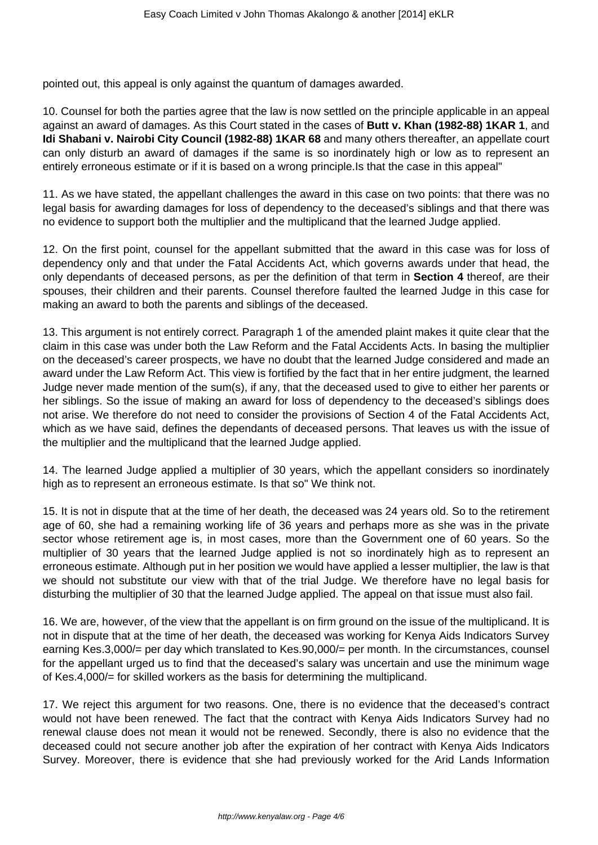pointed out, this appeal is only against the quantum of damages awarded.

10. Counsel for both the parties agree that the law is now settled on the principle applicable in an appeal against an award of damages. As this Court stated in the cases of **Butt v. Khan (1982-88) 1KAR 1**, and **Idi Shabani v. Nairobi City Council (1982-88) 1KAR 68** and many others thereafter, an appellate court can only disturb an award of damages if the same is so inordinately high or low as to represent an entirely erroneous estimate or if it is based on a wrong principle.Is that the case in this appeal"

11. As we have stated, the appellant challenges the award in this case on two points: that there was no legal basis for awarding damages for loss of dependency to the deceased's siblings and that there was no evidence to support both the multiplier and the multiplicand that the learned Judge applied.

12. On the first point, counsel for the appellant submitted that the award in this case was for loss of dependency only and that under the Fatal Accidents Act, which governs awards under that head, the only dependants of deceased persons, as per the definition of that term in **Section 4** thereof, are their spouses, their children and their parents. Counsel therefore faulted the learned Judge in this case for making an award to both the parents and siblings of the deceased.

13. This argument is not entirely correct. Paragraph 1 of the amended plaint makes it quite clear that the claim in this case was under both the Law Reform and the Fatal Accidents Acts. In basing the multiplier on the deceased's career prospects, we have no doubt that the learned Judge considered and made an award under the Law Reform Act. This view is fortified by the fact that in her entire judgment, the learned Judge never made mention of the sum(s), if any, that the deceased used to give to either her parents or her siblings. So the issue of making an award for loss of dependency to the deceased's siblings does not arise. We therefore do not need to consider the provisions of Section 4 of the Fatal Accidents Act, which as we have said, defines the dependants of deceased persons. That leaves us with the issue of the multiplier and the multiplicand that the learned Judge applied.

14. The learned Judge applied a multiplier of 30 years, which the appellant considers so inordinately high as to represent an erroneous estimate. Is that so" We think not.

15. It is not in dispute that at the time of her death, the deceased was 24 years old. So to the retirement age of 60, she had a remaining working life of 36 years and perhaps more as she was in the private sector whose retirement age is, in most cases, more than the Government one of 60 years. So the multiplier of 30 years that the learned Judge applied is not so inordinately high as to represent an erroneous estimate. Although put in her position we would have applied a lesser multiplier, the law is that we should not substitute our view with that of the trial Judge. We therefore have no legal basis for disturbing the multiplier of 30 that the learned Judge applied. The appeal on that issue must also fail.

16. We are, however, of the view that the appellant is on firm ground on the issue of the multiplicand. It is not in dispute that at the time of her death, the deceased was working for Kenya Aids Indicators Survey earning Kes.3,000/= per day which translated to Kes.90,000/= per month. In the circumstances, counsel for the appellant urged us to find that the deceased's salary was uncertain and use the minimum wage of Kes.4,000/= for skilled workers as the basis for determining the multiplicand.

17. We reject this argument for two reasons. One, there is no evidence that the deceased's contract would not have been renewed. The fact that the contract with Kenya Aids Indicators Survey had no renewal clause does not mean it would not be renewed. Secondly, there is also no evidence that the deceased could not secure another job after the expiration of her contract with Kenya Aids Indicators Survey. Moreover, there is evidence that she had previously worked for the Arid Lands Information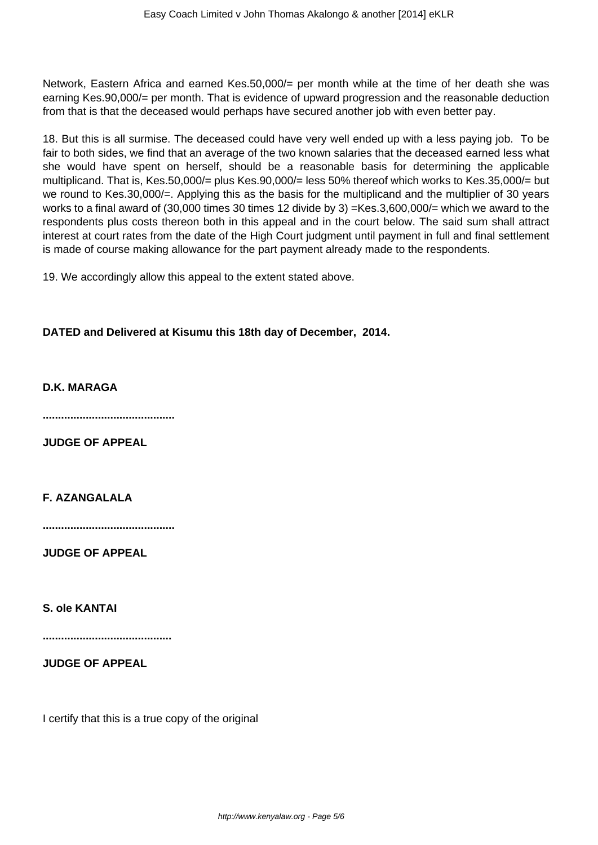Network, Eastern Africa and earned Kes.50,000/= per month while at the time of her death she was earning Kes.90,000/= per month. That is evidence of upward progression and the reasonable deduction from that is that the deceased would perhaps have secured another job with even better pay.

18. But this is all surmise. The deceased could have very well ended up with a less paying job. To be fair to both sides, we find that an average of the two known salaries that the deceased earned less what she would have spent on herself, should be a reasonable basis for determining the applicable multiplicand. That is, Kes.50,000/= plus Kes.90,000/= less 50% thereof which works to Kes.35,000/= but we round to Kes.30,000/=. Applying this as the basis for the multiplicand and the multiplier of 30 years works to a final award of (30,000 times 30 times 12 divide by 3) =Kes.3,600,000/= which we award to the respondents plus costs thereon both in this appeal and in the court below. The said sum shall attract interest at court rates from the date of the High Court judgment until payment in full and final settlement is made of course making allowance for the part payment already made to the respondents.

19. We accordingly allow this appeal to the extent stated above.

# **DATED and Delivered at Kisumu this 18th day of December, 2014.**

**D.K. MARAGA**

**...........................................**

**JUDGE OF APPEAL**

**F. AZANGALALA**

**...........................................**

**JUDGE OF APPEAL**

**S. ole KANTAI**

**..........................................**

**JUDGE OF APPEAL**

I certify that this is a true copy of the original